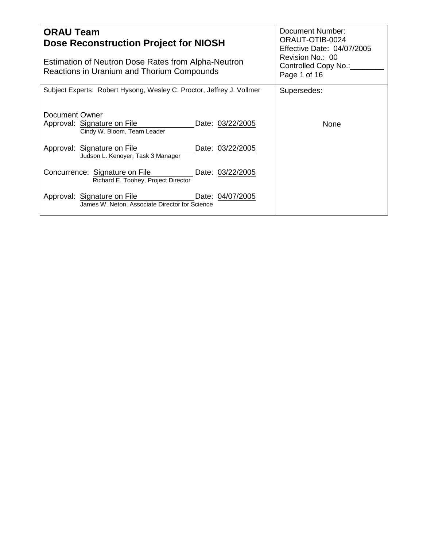| <b>ORAU Team</b><br>Dose Reconstruction Project for NIOSH<br>Estimation of Neutron Dose Rates from Alpha-Neutron<br>Reactions in Uranium and Thorium Compounds | Document Number:<br>ORAUT-OTIB-0024<br>Effective Date: 04/07/2005<br>Revision No.: 00<br>Controlled Copy No.:_<br>Page 1 of 16 |
|----------------------------------------------------------------------------------------------------------------------------------------------------------------|--------------------------------------------------------------------------------------------------------------------------------|
| Subject Experts: Robert Hysong, Wesley C. Proctor, Jeffrey J. Vollmer                                                                                          | Supersedes:                                                                                                                    |
| Document Owner<br>Approval: Signature on File<br>Date: 03/22/2005<br>Cindy W. Bloom, Team Leader                                                               | None                                                                                                                           |
| Approval: Signature on File<br>Date: 03/22/2005<br>Judson L. Kenoyer, Task 3 Manager                                                                           |                                                                                                                                |
| Concurrence: Signature on File<br>Date: 03/22/2005<br>Richard E. Toohey, Project Director                                                                      |                                                                                                                                |
| Approval: Signature on File <b>Date: 04/07/2005</b><br>James W. Neton, Associate Director for Science                                                          |                                                                                                                                |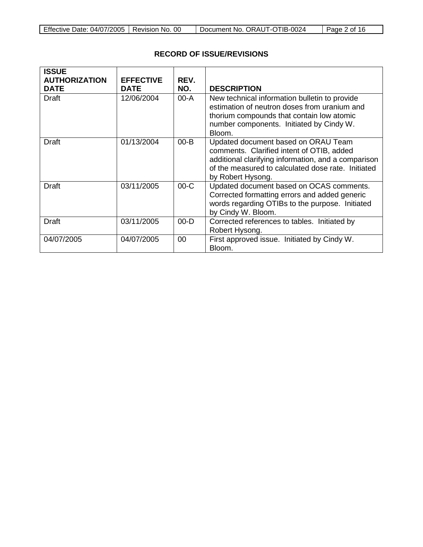| Effective Date: 04/07/2005   Revision No. 00 |  | Document No. ORAUT-OTIB-0024 | Page 2 of 16 |
|----------------------------------------------|--|------------------------------|--------------|
|----------------------------------------------|--|------------------------------|--------------|

# **RECORD OF ISSUE/REVISIONS**

| <b>ISSUE</b><br><b>AUTHORIZATION</b><br><b>DATE</b> | <b>EFFECTIVE</b><br><b>DATE</b> | REV.<br>NO. | <b>DESCRIPTION</b>                                                                                                                                                                                                 |
|-----------------------------------------------------|---------------------------------|-------------|--------------------------------------------------------------------------------------------------------------------------------------------------------------------------------------------------------------------|
| <b>Draft</b>                                        | 12/06/2004                      | $00-A$      | New technical information bulletin to provide<br>estimation of neutron doses from uranium and<br>thorium compounds that contain low atomic<br>number components. Initiated by Cindy W.<br>Bloom.                   |
| Draft                                               | 01/13/2004                      | $00 - B$    | Updated document based on ORAU Team<br>comments. Clarified intent of OTIB, added<br>additional clarifying information, and a comparison<br>of the measured to calculated dose rate. Initiated<br>by Robert Hysong. |
| Draft                                               | 03/11/2005                      | $00-C$      | Updated document based on OCAS comments.<br>Corrected formatting errors and added generic<br>words regarding OTIBs to the purpose. Initiated<br>by Cindy W. Bloom.                                                 |
| <b>Draft</b>                                        | 03/11/2005                      | $00 - D$    | Corrected references to tables. Initiated by<br>Robert Hysong.                                                                                                                                                     |
| 04/07/2005                                          | 04/07/2005                      | 00          | First approved issue. Initiated by Cindy W.<br>Bloom.                                                                                                                                                              |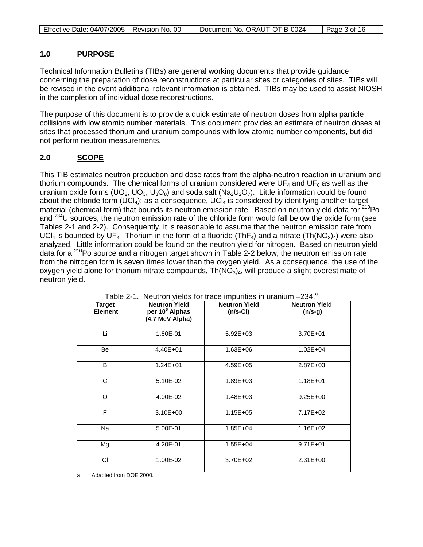| Effective Date: 04/07/2005   Revision No. 00 |  | Document No. ORAUT-OTIB-0024 | Page 3 of 16 |
|----------------------------------------------|--|------------------------------|--------------|
|----------------------------------------------|--|------------------------------|--------------|

#### **1.0 PURPOSE**

Technical Information Bulletins (TIBs) are general working documents that provide guidance concerning the preparation of dose reconstructions at particular sites or categories of sites. TIBs will be revised in the event additional relevant information is obtained. TIBs may be used to assist NIOSH in the completion of individual dose reconstructions.

The purpose of this document is to provide a quick estimate of neutron doses from alpha particle collisions with low atomic number materials. This document provides an estimate of neutron doses at sites that processed thorium and uranium compounds with low atomic number components, but did not perform neutron measurements.

### **2.0 SCOPE**

This TIB estimates neutron production and dose rates from the alpha-neutron reaction in uranium and thorium compounds. The chemical forms of uranium considered were  $UF_4$  and  $UF_6$  as well as the uranium oxide forms (UO<sub>2</sub>, UO<sub>3</sub>, U<sub>3</sub>O<sub>8</sub>) and soda salt (Na<sub>2</sub>U<sub>2</sub>O<sub>7</sub>). Little information could be found about the chloride form  $(UCI<sub>4</sub>)$ ; as a consequence,  $UCI<sub>4</sub>$  is considered by identifying another target material (chemical form) that bounds its neutron emission rate. Based on neutron vield data for <sup>210</sup>Po and <sup>234</sup>U sources, the neutron emission rate of the chloride form would fall below the oxide form (see Tables 2-1 and 2-2). Consequently, it is reasonable to assume that the neutron emission rate from UCl<sub>4</sub> is bounded by UF<sub>4.</sub> Thorium in the form of a fluoride (ThF<sub>4</sub>) and a nitrate (Th(NO<sub>3</sub>)<sub>4</sub>) were also analyzed. Little information could be found on the neutron yield for nitrogen. Based on neutron yield data for a  $210P$  source and a nitrogen target shown in Table 2-2 below, the neutron emission rate from the nitrogen form is seven times lower than the oxygen yield. As a consequence, the use of the oxygen yield alone for thorium nitrate compounds,  $Th(NO<sub>3</sub>)<sub>4</sub>$ , will produce a slight overestimate of neutron yield.

| <b>Target</b><br><b>Element</b> | <b>Neutron Yield</b><br>per 10 <sup>6</sup> Alphas<br>(4.7 MeV Alpha) | <b>Neutron Yield</b><br>$(n/s-Ci)$ | <b>Neutron Yield</b><br>$(n/s-g)$ |
|---------------------------------|-----------------------------------------------------------------------|------------------------------------|-----------------------------------|
| Li                              | 1.60E-01                                                              | 5.92E+03                           | 3.70E+01                          |
| Be                              | 4.40E+01                                                              | 1.63E+06                           | $1.02E + 04$                      |
| B                               | $1.24E + 01$                                                          | 4.59E+05                           | 2.87E+03                          |
| C                               | 5.10E-02                                                              | 1.89E+03                           | $1.18E + 01$                      |
| O                               | 4.00E-02                                                              | $1.48E + 03$                       | $9.25E + 00$                      |
| F                               | 3.10E+00                                                              | $1.15E + 05$                       | 7.17E+02                          |
| Na                              | 5.00E-01                                                              | 1.85E+04                           | 1.16E+02                          |
| Mg                              | 4.20E-01                                                              | $1.55E + 04$                       | $9.71E + 01$                      |
| CI                              | 1.00E-02                                                              | 3.70E+02                           | 2.31E+00                          |

Table 2-1. Neutron vields for trace impurities in uranium -234.<sup>a</sup>

a. Adapted from DOE 2000.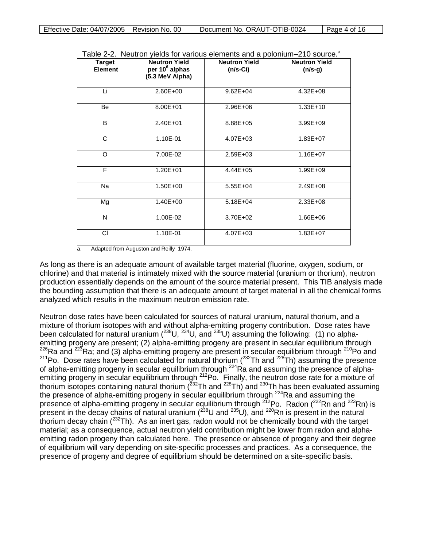| Effective Date: 04/07/2005   Revision No. 00 |  | Document No. ORAUT-OTIB-0024 | $\vert$ Page 4 of 16 |
|----------------------------------------------|--|------------------------------|----------------------|
|----------------------------------------------|--|------------------------------|----------------------|

|  |  | Table 2-2. Neutron yields for various elements and a polonium–210 source. <sup>a</sup> |  |
|--|--|----------------------------------------------------------------------------------------|--|
|--|--|----------------------------------------------------------------------------------------|--|

| <b>Target</b><br><b>Element</b> | <b>Neutron Yield</b><br>per 10 <sup>6</sup> alphas<br>(5.3 MeV Alpha) | <b>Neutron Yield</b><br>$(n/s-Ci)$ | <b>Neutron Yield</b><br>$(n/s-g)$ |
|---------------------------------|-----------------------------------------------------------------------|------------------------------------|-----------------------------------|
| Li                              | 2.60E+00                                                              | $9.62E + 04$                       | $4.32E + 08$                      |
| Be                              | 8.00E+01                                                              | $2.96E + 06$                       | $1.33E+10$                        |
| B                               | 2.40E+01                                                              | 8.88E+05                           | $3.99E + 09$                      |
| C                               | 1.10E-01                                                              | $4.07E + 03$                       | 1.83E+07                          |
| O                               | 7.00E-02                                                              | $2.59E + 03$                       | $1.16E + 07$                      |
| F                               | 1.20E+01                                                              | $4.44E + 05$                       | 1.99E+09                          |
| <b>Na</b>                       | 1.50E+00                                                              | 5.55E+04                           | 2.49E+08                          |
| Mg                              | 1.40E+00                                                              | $5.18E + 04$                       | $2.33E + 08$                      |
| N                               | 1.00E-02                                                              | 3.70E+02                           | $1.66E + 06$                      |
| <b>CI</b>                       | 1.10E-01                                                              | 4.07E+03                           | 1.83E+07                          |

a. Adapted from Auguston and Reilly 1974.

As long as there is an adequate amount of available target material (fluorine, oxygen, sodium, or chlorine) and that material is intimately mixed with the source material (uranium or thorium), neutron production essentially depends on the amount of the source material present. This TIB analysis made the bounding assumption that there is an adequate amount of target material in all the chemical forms analyzed which results in the maximum neutron emission rate.

Neutron dose rates have been calculated for sources of natural uranium, natural thorium, and a mixture of thorium isotopes with and without alpha-emitting progeny contribution. Dose rates have been calculated for natural uranium  $(^{238}U, ^{234}U,$  and  $^{235}U)$  assuming the following: (1) no alphaemitting progeny are present; (2) alpha-emitting progeny are present in secular equilibrium through  $226$ Ra and  $223$ Ra; and (3) alpha-emitting progeny are present in secular equilibrium through  $210$ Po and <sup>211</sup>Po. Dose rates have been calculated for natural thorium ( $^{232}$ Th and  $^{228}$ Th) assuming the presence of alpha-emitting progeny in secular equilibrium through <sup>224</sup>Ra and assuming the presence of alphaemitting progeny in secular equilibrium through <sup>212</sup>Po. Finally, the neutron dose rate for a mixture of thorium isotopes containing natural thorium ( $232$ Th and  $228$ Th) and  $230$ Th has been evaluated assuming the presence of alpha-emitting progeny in secular equilibrium through  $224$ Ra and assuming the presence of alpha-emitting progeny in secular equilibrium through <sup>212</sup>Po. Radon (<sup>222</sup>Rn and <sup>223</sup>Rn) is present in the decay chains of natural uranium ( $^{238}$ U and  $^{235}$ U), and  $^{220}$ Rn is present in the natural thorium decay chain  $(^{232}Th)$ . As an inert gas, radon would not be chemically bound with the target material; as a consequence, actual neutron yield contribution might be lower from radon and alphaemitting radon progeny than calculated here. The presence or absence of progeny and their degree of equilibrium will vary depending on site-specific processes and practices. As a consequence, the presence of progeny and degree of equilibrium should be determined on a site-specific basis.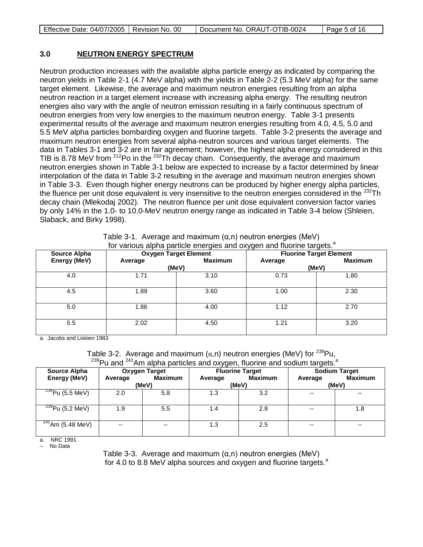| Effective Date: 04/07/2005   Revision No. 00 |  | Document No. ORAUT-OTIB-0024 | $\vert$ Page 5 of 16 |
|----------------------------------------------|--|------------------------------|----------------------|
|----------------------------------------------|--|------------------------------|----------------------|

### **3.0 NEUTRON ENERGY SPECTRUM**

Neutron production increases with the available alpha particle energy as indicated by comparing the neutron yields in Table 2-1 (4.7 MeV alpha) with the yields in Table 2-2 (5.3 MeV alpha) for the same target element. Likewise, the average and maximum neutron energies resulting from an alpha neutron reaction in a target element increase with increasing alpha energy. The resulting neutron energies also vary with the angle of neutron emission resulting in a fairly continuous spectrum of neutron energies from very low energies to the maximum neutron energy. Table 3-1 presents experimental results of the average and maximum neutron energies resulting from 4.0, 4.5, 5.0 and 5.5 MeV alpha particles bombarding oxygen and fluorine targets. Table 3-2 presents the average and maximum neutron energies from several alpha-neutron sources and various target elements. The data in Tables 3-1 and 3-2 are in fair agreement; however, the highest alpha energy considered in this TIB is 8.78 MeV from  $^{212}$ Po in the  $^{232}$ Th decay chain. Consequently, the average and maximum neutron energies shown in Table 3-1 below are expected to increase by a factor determined by linear interpolation of the data in Table 3-2 resulting in the average and maximum neutron energies shown in Table 3-3. Even though higher energy neutrons can be produced by higher energy alpha particles, the fluence per unit dose equivalent is very insensitive to the neutron energies considered in the  $^{232}$ Th decay chain (Mlekodaj 2002). The neutron fluence per unit dose equivalent conversion factor varies by only 14% in the 1.0- to 10.0-MeV neutron energy range as indicated in Table 3-4 below (Shleien, Slaback, and Birky 1998).

| for various alpha particle energies and oxygen and fluorine targets. <sup>a</sup> |                              |                |                                |                |
|-----------------------------------------------------------------------------------|------------------------------|----------------|--------------------------------|----------------|
| <b>Source Alpha</b>                                                               | <b>Oxygen Target Element</b> |                | <b>Fluorine Target Element</b> |                |
| Energy (MeV)                                                                      | Average                      | <b>Maximum</b> | Average                        | <b>Maximum</b> |
|                                                                                   |                              | (MeV)          |                                | (MeV)          |
| 4.0                                                                               | 1.71                         | 3.10           | 0.73                           | 1.80           |
| 4.5                                                                               | 1.89                         | 3.60           | 1.00                           | 2.30           |
| 5.0                                                                               | 1.86                         | 4.00           | 1.12                           | 2.70           |
| 5.5                                                                               | 2.02                         | 4.50           | 1.21                           | 3.20           |

Table 3-1. Average and maximum (α,n) neutron energies (MeV)

a. Jacobs and Liskien 1983

Table 3-2. Average and maximum  $(\alpha, n)$  neutron energies (MeV) for  $^{238}$ Pu,

| <sup>239</sup> Pu and <sup>241</sup> Am alpha particles and oxygen, fluorine and sodium targets. <sup>a</sup> |  |
|---------------------------------------------------------------------------------------------------------------|--|
|---------------------------------------------------------------------------------------------------------------|--|

| <b>Source Alpha</b>             | <b>Oxygen Target</b> |                | <b>Fluorine Target</b> |                |         | <b>Sodium Target</b> |
|---------------------------------|----------------------|----------------|------------------------|----------------|---------|----------------------|
| Energy (MeV)                    | Average              | <b>Maximum</b> | Average                | <b>Maximum</b> | Average | <b>Maximum</b>       |
|                                 | (MeV)                |                |                        | (MeV)          |         | (MeV)                |
| $\frac{238}{2}$ Pu (5.5 MeV)    | 2.0                  | 5.8            | 1.3                    | 3.2            | --      | --                   |
| $\overline{^{239}$ Pu (5.2 MeV) | 1.9                  | 5.5            | 1.4                    | 2.8            | $- -$   | 1.8                  |
| $\sqrt[241]{241}$ Am (5.48 MeV) | $-$                  | $- -$          | 1.3                    | 2.5            | --      | --                   |

a. NRC 1991

No Data

Table 3-3. Average and maximum (α,n) neutron energies (MeV) for 4.0 to 8.8 MeV alpha sources and oxygen and fluorine targets. $a$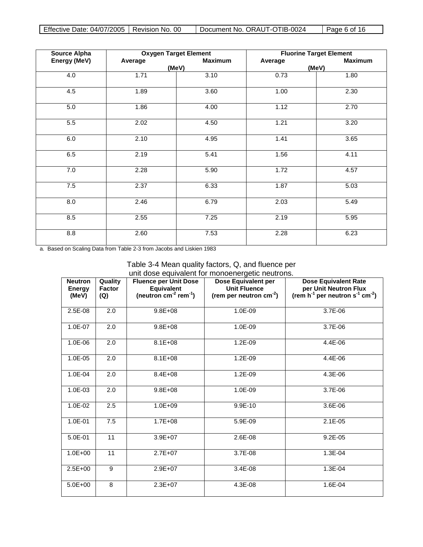| <b>Source Alpha</b> |         | <b>Oxygen Target Element</b> | <b>Fluorine Target Element</b> |                |  |
|---------------------|---------|------------------------------|--------------------------------|----------------|--|
| Energy (MeV)        | Average | <b>Maximum</b>               | Average                        | <b>Maximum</b> |  |
|                     |         | (MeV)                        |                                | (MeV)          |  |
| 4.0                 | 1.71    | 3.10                         | 0.73                           | 1.80           |  |
| 4.5                 | 1.89    | 3.60                         | 1.00                           | 2.30           |  |
| 5.0                 | 1.86    | 4.00                         | 1.12                           | 2.70           |  |
| 5.5                 | 2.02    | 4.50                         | 1.21                           | 3.20           |  |
| 6.0                 | 2.10    | 4.95                         | 1.41                           | 3.65           |  |
| 6.5                 | 2.19    | 5.41                         | 1.56                           | 4.11           |  |
| 7.0                 | 2.28    | 5.90                         | 1.72                           | 4.57           |  |
| 7.5                 | 2.37    | 6.33                         | 1.87                           | 5.03           |  |
| $\overline{8.0}$    | 2.46    | 6.79                         | 2.03                           | 5.49           |  |
| 8.5                 | 2.55    | 7.25                         | 2.19                           | 5.95           |  |
| 8.8                 | 2.60    | 7.53                         | 2.28                           | 6.23           |  |

a. Based on Scaling Data from Table 2-3 from Jacobs and Liskien 1983

| Table 3-4 Mean quality factors, Q, and fluence per |  |
|----------------------------------------------------|--|
| unit dose equivalent for monoenergetic neutrons.   |  |

| <b>Neutron</b><br><b>Energy</b><br>(MeV) | Quality<br><b>Factor</b><br>(Q) | <b>Fluence per Unit Dose</b><br><b>Equivalent</b><br>(neutron $cm^{-2}$ rem <sup>-1</sup> ) | Dose Equivalent per<br><b>Unit Fluence</b><br>(rem per neutron $cm^{-2}$ ) | <b>Dose Equivalent Rate</b><br>per Unit Neutron Flux<br>(rem $h^{-1}$ per neutron s <sup>-1</sup> cm <sup>-2</sup> ) |
|------------------------------------------|---------------------------------|---------------------------------------------------------------------------------------------|----------------------------------------------------------------------------|----------------------------------------------------------------------------------------------------------------------|
| 2.5E-08                                  | 2.0                             | $9.8E + 08$                                                                                 | 1.0E-09                                                                    | 3.7E-06                                                                                                              |
| 1.0E-07                                  | 2.0                             | $9.8E + 08$                                                                                 | 1.0E-09                                                                    | 3.7E-06                                                                                                              |
| 1.0E-06                                  | 2.0                             | $8.1E + 08$                                                                                 | 1.2E-09                                                                    | 4.4E-06                                                                                                              |
| 1.0E-05                                  | 2.0                             | $8.1E + 08$                                                                                 | 1.2E-09                                                                    | 4.4E-06                                                                                                              |
| 1.0E-04                                  | 2.0                             | $8.4E + 08$                                                                                 | 1.2E-09                                                                    | 4.3E-06                                                                                                              |
| 1.0E-03                                  | 2.0                             | $9.8E + 08$                                                                                 | 1.0E-09                                                                    | 3.7E-06                                                                                                              |
| 1.0E-02                                  | 2.5                             | $1.0E + 09$                                                                                 | 9.9E-10                                                                    | 3.6E-06                                                                                                              |
| 1.0E-01                                  | 7.5                             | $1.7E + 08$                                                                                 | 5.9E-09                                                                    | 2.1E-05                                                                                                              |
| 5.0E-01                                  | 11                              | $3.9E + 07$                                                                                 | 2.6E-08                                                                    | 9.2E-05                                                                                                              |
| $1.0E + 00$                              | 11                              | $2.7E + 07$                                                                                 | 3.7E-08                                                                    | 1.3E-04                                                                                                              |
| $2.5E+00$                                | 9                               | 2.9E+07                                                                                     | 3.4E-08                                                                    | 1.3E-04                                                                                                              |
| $5.0E + 00$                              | 8                               | $2.3E + 07$                                                                                 | 4.3E-08                                                                    | 1.6E-04                                                                                                              |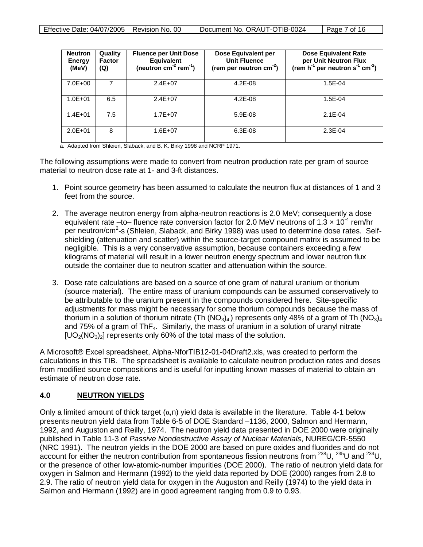| <b>Neutron</b><br>Energy<br>(MeV) | Quality<br><b>Factor</b><br>(Q) | <b>Fluence per Unit Dose</b><br><b>Equivalent</b><br>(neutron $cm^{-2}$ rem <sup>-1</sup> ) | Dose Equivalent per<br><b>Unit Fluence</b><br>(rem per neutron $cm^{-2}$ ) | <b>Dose Equivalent Rate</b><br>per Unit Neutron Flux<br>(rem h <sup>-1</sup> per neutron s <sup>-1</sup> cm <sup>-2</sup> ) |
|-----------------------------------|---------------------------------|---------------------------------------------------------------------------------------------|----------------------------------------------------------------------------|-----------------------------------------------------------------------------------------------------------------------------|
| $7.0E + 00$                       |                                 | $2.4E + 07$                                                                                 | $4.2E-08$                                                                  | $1.5E-04$                                                                                                                   |
| $1.0E + 01$                       | 6.5                             | $2.4E + 07$                                                                                 | $4.2E - 08$                                                                | 1.5E-04                                                                                                                     |
| $1.4E + 01$                       | 7.5                             | $1.7E + 07$                                                                                 | 5.9E-08                                                                    | $2.1E - 04$                                                                                                                 |
| $2.0E + 01$                       | 8                               | $1.6E + 07$                                                                                 | $6.3E-08$                                                                  | $2.3E-04$                                                                                                                   |

a. Adapted from Shleien, Slaback, and B. K. Birky 1998 and NCRP 1971.

The following assumptions were made to convert from neutron production rate per gram of source material to neutron dose rate at 1- and 3-ft distances.

- 1. Point source geometry has been assumed to calculate the neutron flux at distances of 1 and 3 feet from the source.
- 2. The average neutron energy from alpha-neutron reactions is 2.0 MeV; consequently a dose equivalent rate –to– fluence rate conversion factor for 2.0 MeV neutrons of  $1.3 \times 10^{-4}$  rem/hr per neutron/cm<sup>2</sup>-s (Shleien, Slaback, and Birky 1998) was used to determine dose rates. Selfshielding (attenuation and scatter) within the source-target compound matrix is assumed to be negligible. This is a very conservative assumption, because containers exceeding a few kilograms of material will result in a lower neutron energy spectrum and lower neutron flux outside the container due to neutron scatter and attenuation within the source.
- 3. Dose rate calculations are based on a source of one gram of natural uranium or thorium (source material). The entire mass of uranium compounds can be assumed conservatively to be attributable to the uranium present in the compounds considered here. Site-specific adjustments for mass might be necessary for some thorium compounds because the mass of thorium in a solution of thorium nitrate (Th  $(NO<sub>3</sub>)<sub>4</sub>$ ) represents only 48% of a gram of Th  $(NO<sub>3</sub>)<sub>4</sub>$ and 75% of a gram of  $ThF<sub>4</sub>$ . Similarly, the mass of uranium in a solution of uranyl nitrate  $[UO_2(NO_3)_2]$  represents only 60% of the total mass of the solution.

A Microsoft® Excel spreadsheet, Alpha-NforTIB12-01-04Draft2.xls, was created to perform the calculations in this TIB. The spreadsheet is available to calculate neutron production rates and doses from modified source compositions and is useful for inputting known masses of material to obtain an estimate of neutron dose rate.

### **4.0 NEUTRON YIELDS**

Only a limited amount of thick target  $(\alpha, n)$  yield data is available in the literature. Table 4-1 below presents neutron yield data from Table 6-5 of DOE Standard –1136, 2000, Salmon and Hermann, 1992, and Auguston and Reilly, 1974. The neutron yield data presented in DOE 2000 were originally published in Table 11-3 of *Passive Nondestructive Assay of Nuclear Materials*, NUREG/CR-5550 (NRC 1991). The neutron yields in the DOE 2000 are based on pure oxides and fluorides and do not account for either the neutron contribution from spontaneous fission neutrons from 238U, 235U and 234U, or the presence of other low-atomic-number impurities (DOE 2000). The ratio of neutron yield data for oxygen in Salmon and Hermann (1992) to the yield data reported by DOE (2000) ranges from 2.8 to 2.9. The ratio of neutron yield data for oxygen in the Auguston and Reilly (1974) to the yield data in Salmon and Hermann (1992) are in good agreement ranging from 0.9 to 0.93.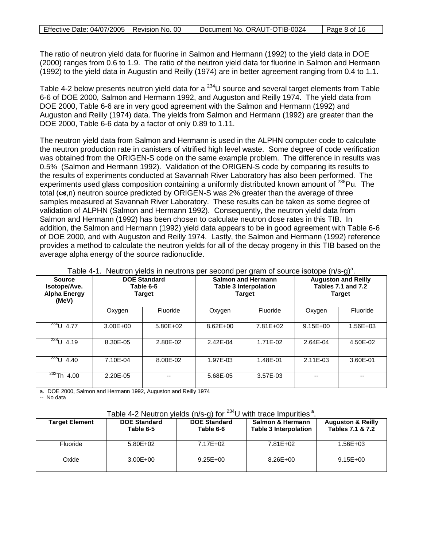The ratio of neutron yield data for fluorine in Salmon and Hermann (1992) to the yield data in DOE (2000) ranges from 0.6 to 1.9. The ratio of the neutron yield data for fluorine in Salmon and Hermann (1992) to the yield data in Augustin and Reilly (1974) are in better agreement ranging from 0.4 to 1.1.

Table 4-2 below presents neutron yield data for a  $^{234}$ U source and several target elements from Table 6-6 of DOE 2000, Salmon and Hermann 1992, and Auguston and Reilly 1974. The yield data from DOE 2000, Table 6-6 are in very good agreement with the Salmon and Hermann (1992) and Auguston and Reilly (1974) data. The yields from Salmon and Hermann (1992) are greater than the DOE 2000, Table 6-6 data by a factor of only 0.89 to 1.11.

The neutron yield data from Salmon and Hermann is used in the ALPHN computer code to calculate the neutron production rate in canisters of vitrified high level waste. Some degree of code verification was obtained from the ORIGEN-S code on the same example problem. The difference in results was 0.5% (Salmon and Hermann 1992). Validation of the ORIGEN-S code by comparing its results to the results of experiments conducted at Savannah River Laboratory has also been performed. The experiments used glass composition containing a uniformly distributed known amount of <sup>238</sup>Pu. The total  $(\alpha s,n)$  neutron source predicted by ORIGEN-S was 2% greater than the average of three samples measured at Savannah River Laboratory. These results can be taken as some degree of validation of ALPHN (Salmon and Hermann 1992). Consequently, the neutron yield data from Salmon and Hermann (1992) has been chosen to calculate neutron dose rates in this TIB. In addition, the Salmon and Hermann (1992) yield data appears to be in good agreement with Table 6-6 of DOE 2000, and with Auguston and Reilly 1974. Lastly, the Salmon and Hermann (1992) reference provides a method to calculate the neutron yields for all of the decay progeny in this TIB based on the average alpha energy of the source radionuclide.

| <b>Source</b><br>Isotope/Ave.<br><b>Alpha Energy</b><br>(MeV) | <b>DOE Standard</b><br>Table 6-5<br><b>Target</b> |              |              | <b>Salmon and Hermann</b><br><b>Table 3 Interpolation</b><br><b>Target</b> | <b>Auguston and Reilly</b><br><b>Tables 7.1 and 7.2</b><br><b>Target</b> |              |
|---------------------------------------------------------------|---------------------------------------------------|--------------|--------------|----------------------------------------------------------------------------|--------------------------------------------------------------------------|--------------|
|                                                               | Oxygen                                            | Fluoride     | Oxygen       | Fluoride                                                                   | Oxygen                                                                   | Fluoride     |
| $\frac{234}{1}$ U 4.77                                        | $3.00E + 00$                                      | $5.80E + 02$ | $8.62E + 00$ | $7.81E + 02$                                                               | $9.15E + 00$                                                             | $1.56E + 03$ |
| $\frac{238}{1}$ U 4.19                                        | 8.30E-05                                          | 2.80E-02     | 2.42E-04     | 1.71E-02                                                                   | 2.64E-04                                                                 | 4.50E-02     |
| $\frac{235}{1}$ 4.40                                          | 7.10E-04                                          | 8.00E-02     | 1.97E-03     | 1.48E-01                                                                   | 2.11E-03                                                                 | 3.60E-01     |
| $\frac{232}{10}$ 4.00                                         | 2.20E-05                                          | --           | 5.68E-05     | 3.57E-03                                                                   |                                                                          | --           |

Table 4-1. Neutron yields in neutrons per second per gram of source isotope (n/s-g)<sup>a</sup>.

a. DOE 2000, Salmon and Hermann 1992, Auguston and Reilly 1974

-- No data

## Table 4-2 Neutron yields (n/s-g) for  $^{234}$ U with trace Impurities<sup>a</sup>.

| Target Element | <b>DOE Standard</b><br>Table 6-5 | <b>DOE Standard</b><br>Table 6-6 | Salmon & Hermann<br><b>Table 3 Interpolation</b> | <b>Auguston &amp; Reilly</b><br>Tables 7.1 & 7.2 |
|----------------|----------------------------------|----------------------------------|--------------------------------------------------|--------------------------------------------------|
| Fluoride       | $5.80E + 02$                     | 7.17E+02                         | 7.81E+02                                         | 1.56E+03                                         |
| Oxide          | $3.00E + 00$                     | $9.25E + 00$                     | $8.26E + 00$                                     | $9.15E + 00$                                     |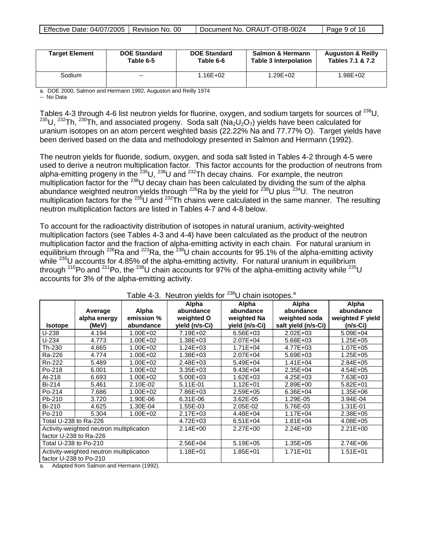| <b>Target Element</b> | <b>DOE Standard</b> | <b>DOE Standard</b> | Salmon & Hermann      | <b>Auguston &amp; Reilly</b> |
|-----------------------|---------------------|---------------------|-----------------------|------------------------------|
|                       | Table 6-5           | Table 6-6           | Table 3 Interpolation | Tables 7.1 & 7.2             |
| Sodium                | $- -$               | $1.16E + 02$        | $1.29E + 02$          | $1.98E + 02$                 |

a. DOE 2000, Salmon and Hermann 1992, Auguston and Reilly 1974

-- No Data

Tables 4-3 through 4-6 list neutron yields for fluorine, oxygen, and sodium targets for sources of <sup>238</sup>U,  $235$ U,  $232$ Th,  $230$ Th, and associated progeny. Soda salt (Na<sub>2</sub>U<sub>2</sub>O<sub>7</sub>) yields have been calculated for uranium isotopes on an atom percent weighted basis (22.22% Na and 77.77% O). Target yields have been derived based on the data and methodology presented in Salmon and Hermann (1992).

The neutron yields for fluoride, sodium, oxygen, and soda salt listed in Tables 4-2 through 4-5 were used to derive a neutron multiplication factor. This factor accounts for the production of neutrons from alpha-emitting progeny in the  $^{235}$ U,  $^{238}$ U and  $^{232}$ Th decay chains. For example, the neutron multiplication factor for the <sup>238</sup>U decay chain has been calculated by dividing the sum of the alpha abundance weighted neutron yields through  $^{226}$ Ra by the yield for  $^{238}$ U plus  $^{234}$ U. The neutron multiplication factors for the  $^{235}$ U and  $^{232}$ Th chains were calculated in the same manner. The resulting neutron multiplication factors are listed in Tables 4-7 and 4-8 below.

To account for the radioactivity distribution of isotopes in natural uranium, activity-weighted multiplication factors (see Tables 4-3 and 4-4) have been calculated as the product of the neutron multiplication factor and the fraction of alpha-emitting activity in each chain. For natural uranium in equilibrium through <sup>226</sup>Ra and <sup>223</sup>Ra, the <sup>238</sup>U chain accounts for 95.1% of the alpha-emitting activity while <sup>235</sup>U accounts for 4.85% of the alpha-emitting activity. For natural uranium in equilibrium through <sup>210</sup>Po and <sup>211</sup>Po, the <sup>238</sup>U chain accounts for 97% of the alpha-emitting activity while <sup>235</sup>U accounts for 3% of the alpha-emitting activity.

|                                                         | . adio . o.oao , .o.ao .o.<br>$\sim$ $\sim$ $\sim$ $\sim$ $\sim$ $\sim$ $\sim$ $\sim$ |              |                |                |                     |                  |  |  |
|---------------------------------------------------------|---------------------------------------------------------------------------------------|--------------|----------------|----------------|---------------------|------------------|--|--|
|                                                         |                                                                                       |              | Alpha          | Alpha          | Alpha               | Alpha            |  |  |
|                                                         | Average                                                                               | Alpha        | abundance      | abundance      | abundance           | abundance        |  |  |
|                                                         | alpha energy                                                                          | emission %   | weighted O     | weighted Na    | weighted soda       | weighted F yield |  |  |
| <b>Isotope</b>                                          | (MeV)                                                                                 | abundance    | yield (n/s-Ci) | yield (n/s-Ci) | salt yield (n/s-Ci) | (n/s-Ci)         |  |  |
| U-238                                                   | 4.194                                                                                 | $1.00E + 02$ | 7.19E+02       | $6.56E + 03$   | $2.02E + 03$        | 5.09E+04         |  |  |
| $U-234$                                                 | 4.773                                                                                 | 1.00E+02     | 1.38E+03       | 2.07E+04       | 5.68E+03            | $1.25E + 05$     |  |  |
| Th-230                                                  | 4.665                                                                                 | 1.00E+02     | 1.24E+03       | $1.71E + 04$   | 4.77E+03            | 1.07E+05         |  |  |
| Ra-226                                                  | 4.774                                                                                 | 1.00E+02     | $1.38E + 03$   | 2.07E+04       | 5.69E+03            | $1.25E + 05$     |  |  |
| Rn-222                                                  | 5.489                                                                                 | 1.00E+02     | 2.48E+03       | 5.49E+04       | $1.41E + 04$        | $2.84E + 05$     |  |  |
| Po-218                                                  | 6.001                                                                                 | 1.00E+02     | $3.35E + 03$   | $9.43E + 04$   | 2.35E+04            | $4.54E + 05$     |  |  |
| At-218                                                  | 6.693                                                                                 | $1.00E + 02$ | $5.00E + 03$   | $1.62E + 03$   | 4.25E+03            | 7.63E+03         |  |  |
| Bi-214                                                  | 5.461                                                                                 | 2.10E-02     | 5.11E-01       | $1.12E + 01$   | 2.89E+00            | $5.82E + 01$     |  |  |
| Po-214                                                  | 7.686                                                                                 | 1.00E+02     | 7.86E+03       | 2.59E+05       | $6.36E + 04$        | $1.35E + 06$     |  |  |
| Pb-210                                                  | 3.720                                                                                 | 1.90E-06     | 6.31E-06       | 3.62E-05       | 1.29E-05            | 3.94E-04         |  |  |
| <b>Bi-210</b>                                           | 4.625                                                                                 | 1.30E-04     | 1.55E-03       | 2.05E-02       | 5.76E-03            | 1.31E-01         |  |  |
| Po-210                                                  | 5.304                                                                                 | 1.00E+02     | $2.17E + 03$   | 4.48E+04       | $1.17E + 04$        | 2.38E+05         |  |  |
| Total U-238 to Ra-226                                   |                                                                                       |              | $4.72E + 03$   | $6.51E + 04$   | $1.81E + 04$        | $4.08E + 05$     |  |  |
| Activity-weighted neutron multiplication                |                                                                                       | $2.14E + 00$ | $2.27E + 00$   | $2.24E + 00$   | $2.21E+00$          |                  |  |  |
| factor U-238 to Ra-226                                  |                                                                                       |              |                |                |                     |                  |  |  |
| Total U-238 to Po-210                                   |                                                                                       | 2.56E+04     | 5.19E+05       | $1.35E + 05$   | 2.74E+06            |                  |  |  |
| Activity-weighted neutron multiplication                |                                                                                       | $1.18E + 01$ | 1.85E+01       | $1.71E + 01$   | $1.51E + 01$        |                  |  |  |
| factor U-238 to Po-210                                  |                                                                                       |              |                |                |                     |                  |  |  |
| A denta differente della carrie di Historia con (4000). |                                                                                       |              |                |                |                     |                  |  |  |

# Table 4-3. Neutron yields for  $^{238}$ U chain isotopes.<sup>a</sup>

Adapted from Salmon and Hermann (1992).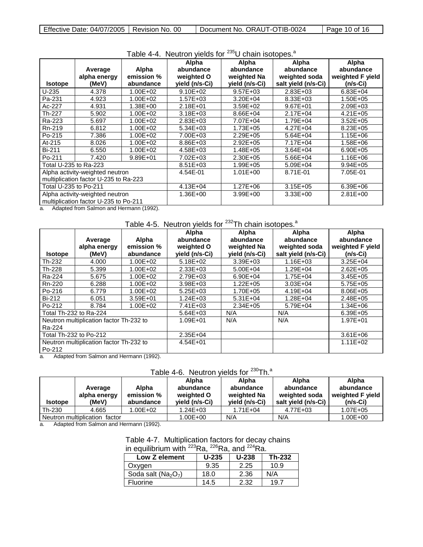|                                       |                                       |              | $1$ abid $\pm$ $\pm$ . Though of proton ion<br>Alpha | <b>U VIIAIII IJULUPUJ.</b><br>Alpha | Alpha               | Alpha            |
|---------------------------------------|---------------------------------------|--------------|------------------------------------------------------|-------------------------------------|---------------------|------------------|
|                                       | Average                               | Alpha        | abundance                                            | abundance                           | abundance           | abundance        |
|                                       | alpha energy                          | emission %   | weighted O                                           | weighted Na                         | weighted soda       | weighted F yield |
| <b>Isotope</b>                        | (MeV)                                 | abundance    | yield (n/s-Ci)                                       | yield (n/s-Ci)                      | salt yield (n/s-Ci) | (n/s-Ci)         |
| U-235                                 | 4.378                                 | $1.00E + 02$ | $9.10E + 02$                                         | $9.57E + 03$                        | 2.83E+03            | $6.83E + 04$     |
| Pa-231                                | 4.923                                 | $1.00E + 02$ | $1.57E + 03$                                         | $3.20E + 04$                        | 8.33E+03            | 1.50E+05         |
| Ac-227                                | 4.931                                 | 1.38E+00     | $2.18E + 01$                                         | $3.59E + 02$                        | 9.67E+01            | $2.09E + 03$     |
| Th-227                                | 5.902                                 | 1.00E+02     | $3.18E + 03$                                         | 8.66E+04                            | $2.17E + 04$        | $4.21E + 05$     |
| Ra-223                                | 5.697                                 | 1.00E+02     | 2.83E+03                                             | 7.07E+04                            | 1.79E+04            | $3.52E + 05$     |
| Rn-219                                | 6.812                                 | $1.00E + 02$ | $5.34E + 03$                                         | 1.73E+05                            | 4.27E+04            | 8.23E+05         |
| Po-215                                | 7.386                                 | 1.00E+02     | 7.00E+03                                             | 2.29E+05                            | $5.64E + 04$        | 1.15E+06         |
| At-215                                | 8.026                                 | $1.00E + 02$ | 8.86E+03                                             | 2.92E+05                            | 7.17E+04            | 1.58E+06         |
| <b>Bi-211</b>                         | 6.550                                 | 1.00E+02     | 4.58E+03                                             | 1.48E+05                            | $3.64E + 04$        | 6.90E+05         |
| Po-211                                | 7.420                                 | 9.89E+01     | 7.02E+03                                             | 2.30E+05                            | 5.66E+04            | 1.16E+06         |
| Total U-235 to Ra-223                 |                                       |              | $8.51E + 03$                                         | 1.99E+05                            | 5.09E+04            | $9.94E + 05$     |
|                                       | Alpha activity-weighted neutron       |              | 4.54E-01                                             | $1.01E + 00$                        | 8.71E-01            | 7.05E-01         |
| multiplication factor U-235 to Ra-223 |                                       |              |                                                      |                                     |                     |                  |
| Total U-235 to Po-211                 |                                       | 4.13E+04     | $1.27E + 06$                                         | $3.15E + 05$                        | $6.39E + 06$        |                  |
| Alpha activity-weighted neutron       |                                       | 1.36E+00     | $3.99E + 00$                                         | $3.33E + 00$                        | $2.81E + 00$        |                  |
|                                       | multiplication factor U-235 to Po-211 |              |                                                      |                                     |                     |                  |

### Table 4-4. Neutron yields for <sup>235</sup>U chain isotopes.<sup>a</sup>

a. Adapted from Salmon and Hermann (1992).

# Table 4-5. Neutron yields for  $232$ Th chain isotopes.<sup>a</sup>

| <b>Isotope</b>                                    | Average<br>alpha energy<br>(MeV) | Alpha<br>emission %<br>abundance | Alpha<br>abundance<br>weighted O<br>yield (n/s-Ci) | Alpha<br>abundance<br>weighted Na<br>yield (n/s-Ci) | Alpha<br>abundance<br>weighted soda<br>salt yield (n/s-Ci) | Alpha<br>abundance<br>weighted F yield<br>(n/s-Ci) |
|---------------------------------------------------|----------------------------------|----------------------------------|----------------------------------------------------|-----------------------------------------------------|------------------------------------------------------------|----------------------------------------------------|
| Th-232                                            | 4.000                            | $1.00E + 02$                     | $5.18E + 02$                                       | $3.39E + 03$                                        | $1.16E + 03$                                               | $3.25E + 04$                                       |
| Th-228                                            | 5.399                            | $1.00E + 02$                     | $2.33E + 03$                                       | $5.00E + 04$                                        | $1.29E + 04$                                               | $2.62E + 0.5$                                      |
| Ra-224                                            | 5.675                            | 1.00E+02                         | 2.79E+03                                           | $6.90E + 04$                                        | 1.75E+04                                                   | $3.45E + 05$                                       |
| Rn-220                                            | 6.288                            | 1.00E+02                         | $3.98E + 03$                                       | $1.22E + 05$                                        | $3.03E + 04$                                               | $5.75E + 05$                                       |
| Po-216                                            | 6.779                            | 1.00E+02                         | $5.25E + 03$                                       | 1.70E+05                                            | $4.19E + 04$                                               | 8.06E+05                                           |
| Bi-212                                            | 6.051                            | $3.59E + 01$                     | $1.24E + 03$                                       | $5.31E + 04$                                        | $1.28E + 04$                                               | 2.48E+05                                           |
| Po-212                                            | 8.784                            | 1.00E+02                         | $7.41E + 03$                                       | $2.34E + 05$                                        | 5.79E+04                                                   | $1.34E + 06$                                       |
|                                                   | Total Th-232 to Ra-224           |                                  | $5.64E + 03$                                       | N/A                                                 | N/A                                                        | $6.39E + 05$                                       |
| Neutron multiplication factor Th-232 to<br>Ra-224 |                                  | 1.09E+01                         | N/A                                                | N/A                                                 | 1.97E+01                                                   |                                                    |
| Total Th-232 to Po-212                            |                                  | $2.35E + 04$                     |                                                    |                                                     | $3.61E + 06$                                               |                                                    |
| Neutron multiplication factor Th-232 to<br>Po-212 |                                  | $4.54E + 01$                     |                                                    |                                                     | $1.11E + 02$                                               |                                                    |

a. Adapted from Salmon and Hermann (1992).

# Table 4-6. Neutron yields for <sup>230</sup>Th.<sup>a</sup>

|                               | Average<br>alpha energy | Alpha<br>emission % | Alpha<br>abundance<br>weighted O | Alpha<br>abundance<br>weighted Na | Alpha<br>abundance<br>weighted soda | Alpha<br>abundance<br>weighted F yield |
|-------------------------------|-------------------------|---------------------|----------------------------------|-----------------------------------|-------------------------------------|----------------------------------------|
| <b>Isotope</b>                | (MeV)                   | abundance           | yield (n/s-Ci)                   | yield (n/s-Ci)                    | salt yield (n/s-Ci)                 | $(n/s-Ci)$                             |
| Th-230                        | 4.665                   | $.00E+02$           | $1.24E + 03$                     | $1.71E + 04$                      | 4.77E+03                            | 1.07E+05                               |
| Neutron multiplication factor |                         |                     | 1.00E+00                         | N/A                               | N/A                                 | 1.00E+00                               |

a. Adapted from Salmon and Hermann (1992).

### Table 4-7. Multiplication factors for decay chains in equilibrium with <sup>223</sup>Ra, <sup>226</sup>Ra, and <sup>224</sup>Ra.

| Low Z element         | $U-235$ | $U - 238$ | <b>Th-232</b> |
|-----------------------|---------|-----------|---------------|
| Oxygen                | 9.35    | 2.25      | 10.9          |
| Soda salt ( $Na2O7$ ) | 18.0    | 2.36      | N/A           |
| <b>Fluorine</b>       | 14.5    | 2.32      | - 19.7        |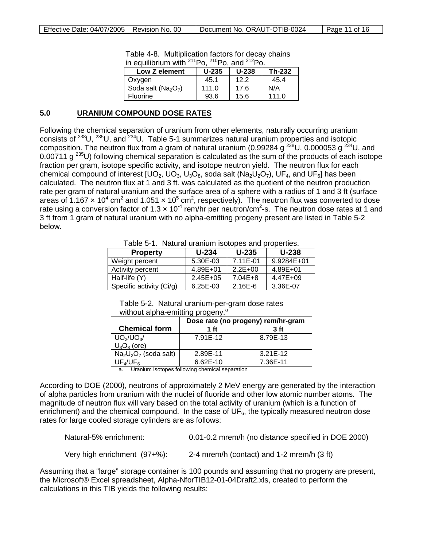| <u>III CYUIIIDHUITI WILIT</u><br>гU.<br>FU. dilu<br>гv. |         |         |        |  |
|---------------------------------------------------------|---------|---------|--------|--|
| Low Z element                                           | $U-235$ | $U-238$ | Th-232 |  |
| Oxygen                                                  | 45.1    | 12.2    | 45.4   |  |
| Soda salt ( $Na2O7$ )                                   | 111.0   | 17.6    | N/A    |  |
| <b>Fluorine</b>                                         | 93.6    | 15.6    | 111.0  |  |

Table 4-8. Multiplication factors for decay chains in equilibrium with  $^{211}P^0$ ,  $^{210}P^0$ , and  $^{212}P^0$ 

#### **5.0 URANIUM COMPOUND DOSE RATES**

Following the chemical separation of uranium from other elements, naturally occurring uranium consists of 238U, 235U, and 234U. Table 5-1 summarizes natural uranium properties and isotopic composition. The neutron flux from a gram of natural uranium (0.99284 g  $^{238}$ U, 0.000053 g  $^{234}$ U, and 0.00711 g 235U) following chemical separation is calculated as the sum of the products of each isotope fraction per gram, isotope specific activity, and isotope neutron yield. The neutron flux for each chemical compound of interest  $[UO_2, UO_3, U_3O_8]$ , soda salt  $(Na_2U_2O_7)$ , UF<sub>4</sub>, and UF<sub>6</sub>] has been calculated. The neutron flux at 1 and 3 ft. was calculated as the quotient of the neutron production rate per gram of natural uranium and the surface area of a sphere with a radius of 1 and 3 ft (surface areas of 1.167  $\times$  10<sup>4</sup> cm<sup>2</sup> and 1.051  $\times$  10<sup>5</sup> cm<sup>2</sup>, respectively). The neutron flux was converted to dose rate using a conversion factor of 1.3  $\times$  10<sup>-4</sup> rem/hr per neutron/cm<sup>2</sup>-s. The neutron dose rates at 1 and 3 ft from 1 gram of natural uranium with no alpha-emitting progeny present are listed in Table 5-2 below.

Table 5-1. Natural uranium isotopes and properties.

| <b>Property</b>            | $U - 234$    | $U-235$     | <b>U-238</b> |
|----------------------------|--------------|-------------|--------------|
| Weight percent             | 5.30E-03     | 7.11E-01    | 9.9284E+01   |
| Activity percent           | $4.89E + 01$ | $2.2E + 00$ | 4.89E+01     |
| Half-life (Y)              | $2.45E + 05$ | $7.04E + 8$ | 4.47E+09     |
| Specific activity $(Ci/q)$ | $6.25E-03$   | $2.16E - 6$ | 3.36E-07     |

Table 5-2. Natural uranium-per-gram dose rates without alpha-emitting progeny.<sup>a</sup>

|                       | Dose rate (no progeny) rem/hr-gram |            |  |
|-----------------------|------------------------------------|------------|--|
| <b>Chemical form</b>  | 1 ft<br>3 <sub>ft</sub>            |            |  |
| $UO_2/UO_3/$          | 7.91E-12                           | 8.79E-13   |  |
| $U_3O_8$ (ore)        |                                    |            |  |
| $Na2U2O7$ (soda salt) | 2.89E-11                           | $3.21E-12$ |  |
| UF⊿/UF。               | $6.62E-10$                         | 7.36E-11   |  |

a. Uranium isotopes following chemical separation

According to DOE (2000), neutrons of approximately 2 MeV energy are generated by the interaction of alpha particles from uranium with the nuclei of fluoride and other low atomic number atoms. The magnitude of neutron flux will vary based on the total activity of uranium (which is a function of enrichment) and the chemical compound. In the case of  $UF<sub>6</sub>$ , the typically measured neutron dose rates for large cooled storage cylinders are as follows:

```
Natural-5% enrichment: 0.01-0.2 mrem/h (no distance specified in DOE 2000)
Very high enrichment (97+%): 2-4 mrem/h (contact) and 1-2 mrem/h (3 ft)
```
Assuming that a "large" storage container is 100 pounds and assuming that no progeny are present, the Microsoft® Excel spreadsheet, Alpha-NforTIB12-01-04Draft2.xls, created to perform the calculations in this TIB yields the following results: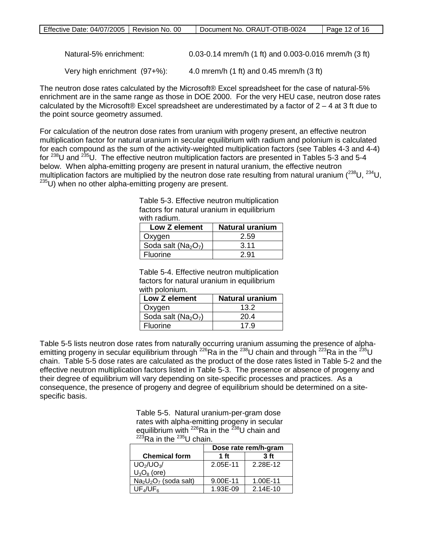| Natural-5% enrichment:          | 0.03-0.14 mrem/h (1 ft) and 0.003-0.016 mrem/h (3 ft)        |
|---------------------------------|--------------------------------------------------------------|
| Very high enrichment $(97+%)$ : | 4.0 mrem/h $(1 \text{ ft})$ and 0.45 mrem/h $(3 \text{ ft})$ |

The neutron dose rates calculated by the Microsoft® Excel spreadsheet for the case of natural-5% enrichment are in the same range as those in DOE 2000. For the very HEU case, neutron dose rates calculated by the Microsoft® Excel spreadsheet are underestimated by a factor of  $2 - 4$  at 3 ft due to the point source geometry assumed.

For calculation of the neutron dose rates from uranium with progeny present, an effective neutron multiplication factor for natural uranium in secular equilibrium with radium and polonium is calculated for each compound as the sum of the activity-weighted multiplication factors (see Tables 4-3 and 4-4) for  $^{238}$ U and  $^{235}$ U. The effective neutron multiplication factors are presented in Tables 5-3 and 5-4 below. When alpha-emitting progeny are present in natural uranium, the effective neutron multiplication factors are multiplied by the neutron dose rate resulting from natural uranium (<sup>238</sup>U, <sup>234</sup>U,  $235$ U) when no other alpha-emitting progeny are present.

Table 5-3. Effective neutron multiplication factors for natural uranium in equilibrium with radium.

| Low Z element         | Natural uranium |  |
|-----------------------|-----------------|--|
| Oxygen                | 2.59            |  |
| Soda salt ( $Na2O7$ ) | 3.11            |  |
| <b>Fluorine</b>       | 2.91            |  |

Table 5-4. Effective neutron multiplication factors for natural uranium in equilibrium with polonium.

| <b>Low Z element</b>  | Natural uranium |  |
|-----------------------|-----------------|--|
| Oxygen                | 13.2            |  |
| Soda salt ( $Na2O7$ ) | 20.4            |  |
| Fluorine              | 17.9            |  |

Table 5-5 lists neutron dose rates from naturally occurring uranium assuming the presence of alphaemitting progeny in secular equilibrium through  $^{226}$ Ra in the  $^{238}$ U chain and through  $^{223}$ Ra in the  $^{235}$ U chain. Table 5-5 dose rates are calculated as the product of the dose rates listed in Table 5-2 and the effective neutron multiplication factors listed in Table 5-3. The presence or absence of progeny and their degree of equilibrium will vary depending on site-specific processes and practices. As a consequence, the presence of progeny and degree of equilibrium should be determined on a sitespecific basis.

> Table 5-5. Natural uranium-per-gram dose rates with alpha-emitting progeny in secular equilibrium with <sup>226</sup>Ra in the <sup>238</sup>U chain and  $^{223}$ Ra in the  $^{235}$ U chain.

|                       | Dose rate rem/h-gram |                 |  |
|-----------------------|----------------------|-----------------|--|
| <b>Chemical form</b>  | 1 ft                 | 3 <sub>ft</sub> |  |
| $UO_2/UO_3/$          | 2.05E-11             | 2.28E-12        |  |
| $U_3O_8$ (ore)        |                      |                 |  |
| $Na2U2O7$ (soda salt) | 9.00E-11             | 1.00E-11        |  |
| $UF_4/UF_6$           | 1.93E-09             | 2.14E-10        |  |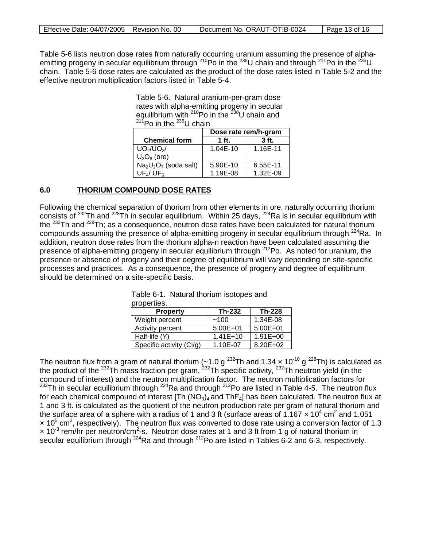| Effective Date: 04/07/2005   Revision No. 00 | Document No. ORAUT-OTIB-0024 | Page 13 of 16 |
|----------------------------------------------|------------------------------|---------------|
|                                              |                              |               |

Table 5-6 lists neutron dose rates from naturally occurring uranium assuming the presence of alphaemitting progeny in secular equilibrium through <sup>210</sup>Po in the <sup>238</sup>U chain and through <sup>211</sup>Po in the <sup>235</sup>U chain. Table 5-6 dose rates are calculated as the product of the dose rates listed in Table 5-2 and the effective neutron multiplication factors listed in Table 5-4.

> Table 5-6. Natural uranium-per-gram dose rates with alpha-emitting progeny in secular equilibrium with  $210P$ o in the  $238U$  chain and  $211$ Po in the  $235$ U chain

|                       | Dose rate rem/h-gram |          |  |
|-----------------------|----------------------|----------|--|
| <b>Chemical form</b>  | $1$ ft.              | $3$ ft.  |  |
| $UO_2/UO_3/$          | 1.04E-10             | 1.16E-11 |  |
| $U_3O_8$ (ore)        |                      |          |  |
| $Na2U2O7$ (soda salt) | 5.90E-10             | 6.55E-11 |  |
| $UF_4/UF_6$           | 1.19E-08             | 1.32E-09 |  |

#### **6.0 THORIUM COMPOUND DOSE RATES**

Following the chemical separation of thorium from other elements in ore, naturally occurring thorium consists of 232Th and 228Th in secular equilibrium. Within 25 days, 224Ra is in secular equilibrium with the 232Th and 228Th; as a consequence, neutron dose rates have been calculated for natural thorium compounds assuming the presence of alpha-emitting progeny in secular equilibrium through <sup>224</sup>Ra. In addition, neutron dose rates from the thorium alpha-n reaction have been calculated assuming the presence of alpha-emitting progeny in secular equilibrium through  $^{212}$ Po. As noted for uranium, the presence or absence of progeny and their degree of equilibrium will vary depending on site-specific processes and practices. As a consequence, the presence of progeny and degree of equilibrium should be determined on a site-specific basis.

| properties.              |              |              |
|--------------------------|--------------|--------------|
| <b>Property</b>          | Th-232       | Th-228       |
| Weight percent           | ~100         | 1.34E-08     |
| Activity percent         | $5.00E + 01$ | $5.00E + 01$ |
| Half-life (Y)            | $1.41E+10$   | $1.91E + 00$ |
| Specific activity (Ci/g) | 1.10E-07     | 8.20E+02     |

Table 6-1. Natural thorium isotopes and

The neutron flux from a gram of natural thorium (~1.0 g <sup>232</sup>Th and 1.34  $\times$  10<sup>-10</sup> g <sup>228</sup>Th) is calculated as the product of the <sup>232</sup>Th mass fraction per gram, <sup>232</sup>Th specific activity, <sup>232</sup>Th neutron yield (in the compound of interest) and the neutron multiplication factor. The neutron multiplication factors for  $232$ Th in secular equilibrium through  $224$ Ra and through  $212$ Po are listed in Table 4-5. The neutron flux for each chemical compound of interest  $[Th (NO<sub>3</sub>)<sub>4</sub>$  and ThF<sub>4</sub>] has been calculated. The neutron flux at 1 and 3 ft. is calculated as the quotient of the neutron production rate per gram of natural thorium and the surface area of a sphere with a radius of 1 and 3 ft (surface areas of 1.167  $\times$  10<sup>4</sup> cm<sup>2</sup> and 1.051  $\times$  10<sup>5</sup> cm<sup>2</sup>, respectively). The neutron flux was converted to dose rate using a conversion factor of 1.3  $\times$  10<sup>-3</sup> rem/hr per neutron/cm<sup>2</sup>-s. Neutron dose rates at 1 and 3 ft from 1 g of natural thorium in secular equilibrium through  $^{224}$ Ra and through  $^{212}$ Po are listed in Tables 6-2 and 6-3, respectively.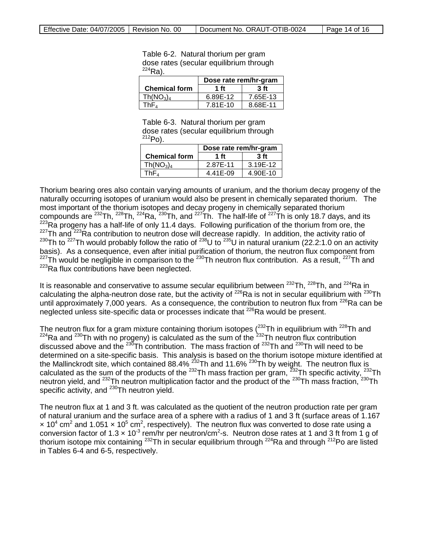Table 6-2. Natural thorium per gram dose rates (secular equilibrium through  $^{224}$ Ra).

|                                   | Dose rate rem/hr-gram |                |
|-----------------------------------|-----------------------|----------------|
| <b>Chemical form</b>              | 1 ft                  | 3 <sub>f</sub> |
| Th(NO <sub>3</sub> ) <sub>4</sub> | 6.89E-12              | 7.65E-13       |
| ™hF⊿                              | 7.81E-10              | 8.68E-11       |

Table 6-3. Natural thorium per gram dose rates (secular equilibrium through  $^{212}P_0$ ).

|                                   | Dose rate rem/hr-gram |                |
|-----------------------------------|-----------------------|----------------|
| <b>Chemical form</b>              | 1 <sub>f</sub>        | 3 <sub>f</sub> |
| Th(NO <sub>3</sub> ) <sub>4</sub> | 2.87E-11              | 3.19E-12       |
| ThF⊿                              | 4.41E-09              | 4.90E-10       |

Thorium bearing ores also contain varying amounts of uranium, and the thorium decay progeny of the naturally occurring isotopes of uranium would also be present in chemically separated thorium. The most important of the thorium isotopes and decay progeny in chemically separated thorium compounds are <sup>232</sup>Th, <sup>228</sup>Th, <sup>224</sup>Ra, <sup>230</sup>Th, and <sup>227</sup>Th. The half-life of <sup>227</sup>Th is only 18.7 days, and its 223Ra progeny has a half-life of only 11.4 days. Following purification of the thorium from ore, the <sup>227</sup>Th and <sup>223</sup>Ra contribution to neutron dose will decrease rapidly. In addition, the activity ratio of <sup>230</sup>Th to <sup>227</sup>Th would probably follow the ratio of <sup>238</sup>U to <sup>235</sup>U in natural uranium (22.2:1.0 on an activity basis). As a consequence, even after initial purification of thorium, the neutron flux component from  $^{227}$ Th would be negligible in comparison to the  $^{230}$ Th neutron flux contribution. As a result,  $^{227}$ Th and  $223$ Ra flux contributions have been neglected.

It is reasonable and conservative to assume secular equilibrium between  $^{232}$ Th,  $^{228}$ Th, and  $^{224}$ Ra in calculating the alpha-neutron dose rate, but the activity of  $^{226}$ Ra is not in secular equilibrium with  $^{230}$ Th until approximately 7,000 years. As a consequence, the contribution to neutron flux from <sup>226</sup>Ra can be neglected unless site-specific data or processes indicate that <sup>226</sup>Ra would be present.

The neutron flux for a gram mixture containing thorium isotopes ( $^{232}$ Th in equilibrium with  $^{228}$ Th and  $224$ Ra and  $230$ Th with no progeny) is calculated as the sum of the  $232$ Th neutron flux contribution discussed above and the  $^{230}$ Th contribution. The mass fraction of  $^{232}$ Th and  $^{230}$ Th will need to be determined on a site-specific basis. This analysis is based on the thorium isotope mixture identified at the Mallinckrodt site, which contained 88.4% <sup>232</sup>Th and 11.6% <sup>230</sup>Th by weight. The neutron flux is calculated as the sum of the products of the <sup>232</sup>Th mass fraction per gram, <sup>232</sup>Th specific activity, <sup>232</sup>Th neutron yield, and <sup>232</sup>Th neutron multiplication factor and the product of the <sup>230</sup>Th mass fraction, <sup>230</sup>Th specific activity, and <sup>230</sup>Th neutron yield.

The neutron flux at 1 and 3 ft. was calculated as the quotient of the neutron production rate per gram of natural uranium and the surface area of a sphere with a radius of 1 and 3 ft (surface areas of 1.167  $\times$  10<sup>4</sup> cm<sup>2</sup> and 1.051  $\times$  10<sup>5</sup> cm<sup>2</sup>, respectively). The neutron flux was converted to dose rate using a conversion factor of 1.3  $\times$  10<sup>-3</sup> rem/hr per neutron/cm<sup>2</sup>-s. Neutron dose rates at 1 and 3 ft from 1 g of thorium isotope mix containing <sup>232</sup>Th in secular equilibrium through <sup>224</sup>Ra and through <sup>212</sup>Po are listed in Tables 6-4 and 6-5, respectively.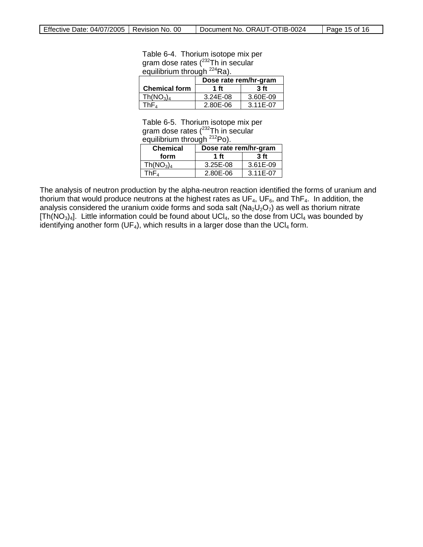### Table 6-4. Thorium isotope mix per gram dose rates (<sup>232</sup>Th in secular equilibrium through <sup>224</sup>Ra).

|                                   | Dose rate rem/hr-gram |                |
|-----------------------------------|-----------------------|----------------|
| <b>Chemical form</b>              | 1 <sub>f</sub>        | 3 <sub>f</sub> |
| Th(NO <sub>3</sub> ) <sub>4</sub> | 3.24E-08              | 3.60E-09       |
| ™hF∡                              | 2.80E-06              | 3.11E-07       |

Table 6-5. Thorium isotope mix per gram dose rates (<sup>232</sup>Th in secular equilibrium through <sup>212</sup>Po).

| <b>Chemical</b>                   | Dose rate rem/hr-gram |                 |
|-----------------------------------|-----------------------|-----------------|
| form                              | 1 ft                  | 3 <sub>ft</sub> |
| Th(NO <sub>3</sub> ) <sub>4</sub> | $3.25E - 08$          | 3.61E-09        |
| ГhF⊿                              | 2.80E-06              | 3.11E-07        |

The analysis of neutron production by the alpha-neutron reaction identified the forms of uranium and thorium that would produce neutrons at the highest rates as  $UF_4$ ,  $UF_6$ , and ThF<sub>4</sub>. In addition, the analysis considered the uranium oxide forms and soda salt ( $Na_2U_2O_7$ ) as well as thorium nitrate  $[Th(NO<sub>3</sub>)<sub>4</sub>]$ . Little information could be found about UCl<sub>4</sub>, so the dose from UCl<sub>4</sub> was bounded by identifying another form (UF<sub>4</sub>), which results in a larger dose than the UCI<sub>4</sub> form.